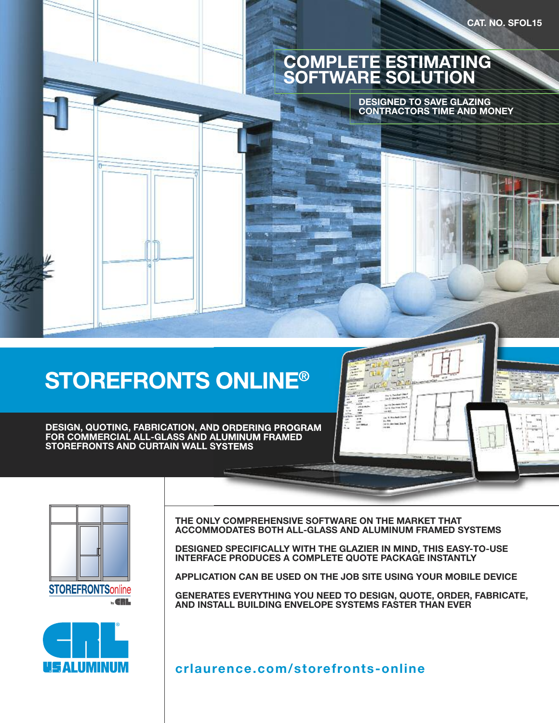

# **STOREFRONTS ONLINE®**

**DESIGN, QUOTING, FABRICATION, AND ORDERING PROGRAM FOR COMMERCIAL ALL-GLASS AND ALUMINUM FRAMED STOREFRONTS AND CURTAIN WALL SYSTEMS**





**THE ONLY COMPREHENSIVE SOFTWARE ON THE MARKET THAT ACCOMMODATES BOTH ALL-GLASS AND ALUMINUM FRAMED SYSTEMS**

**DESIGNED SPECIFICALLY WITH THE GLAZIER IN MIND, THIS EASY-TO-USE INTERFACE PRODUCES A COMPLETE QUOTE PACKAGE INSTANTLY**

**APPLICATION CAN BE USED ON THE JOB SITE USING YOUR MOBILE DEVICE**

**GENERATES EVERYTHING YOU NEED TO DESIGN, QUOTE, ORDER, FABRICATE, AND INSTALL BUILDING ENVELOPE SYSTEMS FASTER THAN EVER**

**crlaurence.com/storefronts-online**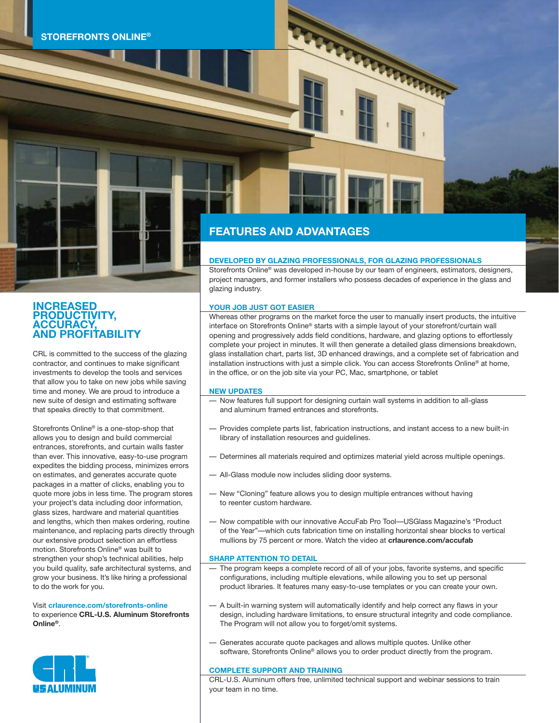

# **INCREASED PRODUCTIVITY, ACCURACY, AND PROFITABILITY**

CRL is committed to the success of the glazing contractor, and continues to make significant investments to develop the tools and services that allow you to take on new jobs while saving time and money. We are proud to introduce a new suite of design and estimating software that speaks directly to that commitment.

Storefronts Online® is a one-stop-shop that allows you to design and build commercial entrances, storefronts, and curtain walls faster than ever. This innovative, easy-to-use program expedites the bidding process, minimizes errors on estimates, and generates accurate quote packages in a matter of clicks, enabling you to quote more jobs in less time. The program stores your project's data including door information, glass sizes, hardware and material quantities and lengths, which then makes ordering, routine maintenance, and replacing parts directly through our extensive product selection an effortless motion. Storefronts Online® was built to strengthen your shop's technical abilities, help you build quality, safe architectural systems, and grow your business. It's like hiring a professional to do the work for you.

#### Visit **crlaurence.com/storefronts-online** to experience **CRL-U.S. Aluminum Storefronts Online®**.



## **FEATURES AND ADVANTAGES**

#### **DEVELOPED BY GLAZING PROFESSIONALS, FOR GLAZING PROFESSIONALS**

Storefronts Online® was developed in-house by our team of engineers, estimators, designers, project managers, and former installers who possess decades of experience in the glass and glazing industry.

**TARTARARASH** 

#### **YOUR JOB JUST GOT EASIER**

Whereas other programs on the market force the user to manually insert products, the intuitive interface on Storefronts Online® starts with a simple layout of your storefront/curtain wall opening and progressively adds field conditions, hardware, and glazing options to effortlessly complete your project in minutes. It will then generate a detailed glass dimensions breakdown, glass installation chart, parts list, 3D enhanced drawings, and a complete set of fabrication and installation instructions with just a simple click. You can access Storefronts Online® at home, in the office, or on the job site via your PC, Mac, smartphone, or tablet

#### **NEW UPDATES**

- Now features full support for designing curtain wall systems in addition to all-glass and aluminum framed entrances and storefronts.
- Provides complete parts list, fabrication instructions, and instant access to a new built-in library of installation resources and guidelines.
- Determines all materials required and optimizes material yield across multiple openings.
- All-Glass module now includes sliding door systems.
- New "Cloning" feature allows you to design multiple entrances without having to reenter custom hardware.
- Now compatible with our innovative AccuFab Pro Tool—USGlass Magazine's "Product of the Year"—which cuts fabrication time on installing horizontal shear blocks to vertical mullions by 75 percent or more. Watch the video at **crlaurence.com/accufab**

#### **SHARP ATTENTION TO DETAIL**

- The program keeps a complete record of all of your jobs, favorite systems, and specific configurations, including multiple elevations, while allowing you to set up personal product libraries. It features many easy-to-use templates or you can create your own.
- A built-in warning system will automatically identify and help correct any flaws in your design, including hardware limitations, to ensure structural integrity and code compliance. The Program will not allow you to forget/omit systems.
- Generates accurate quote packages and allows multiple quotes. Unlike other software, Storefronts Online® allows you to order product directly from the program.

#### **COMPLETE SUPPORT AND TRAINING**

CRL-U.S. Aluminum offers free, unlimited technical support and webinar sessions to train your team in no time.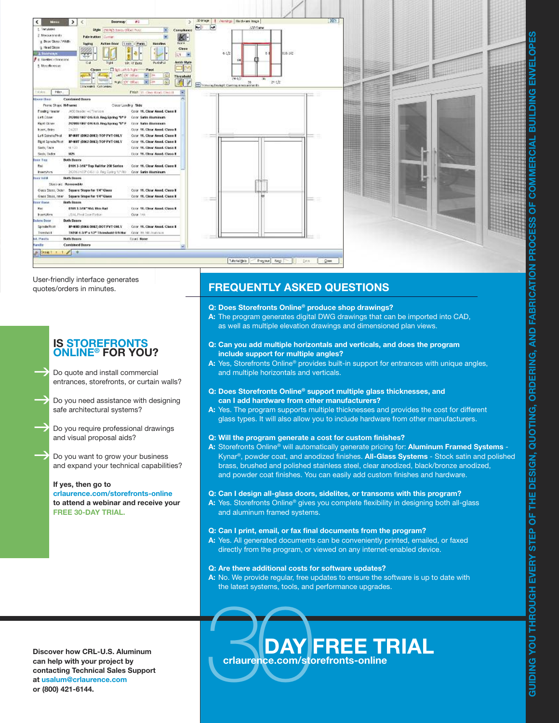

User-friendly interface generates quotes/orders in minutes.

### **IS STOREFRONTS ONLINE® FOR YOU?**

Do quote and install commercial entrances, storefronts, or curtain walls?  $\rightarrow$ 

Do you need assistance with designing safe architectural systems?  $\rightarrow$ 

Do you require professional drawings and visual proposal aids?  $\rightarrow$ 

Do you want to grow your business and expand your technical capabilities?  $\rightarrow$ 

#### **If yes, then go to**

**crlaurence.com/storefronts-online to attend a webinar and receive your FREE 30-DAY TRIAL.**

# **FREQUENTLY ASKED QUESTIONS**

#### **Q: Does Storefronts Online® produce shop drawings?**

- **A:** The program generates digital DWG drawings that can be imported into CAD, as well as multiple elevation drawings and dimensioned plan views.
- **Q: Can you add multiple horizontals and verticals, and does the program include support for multiple angles?**
- **A:** Yes, Storefronts Online® provides built-in support for entrances with unique angles, and multiple horizontals and verticals.
- **Q: Does Storefronts Online® support multiple glass thicknesses, and can I add hardware from other manufacturers?**
- **A:** Yes. The program supports multiple thicknesses and provides the cost for different glass types. It will also allow you to include hardware from other manufacturers.

#### **Q: Will the program generate a cost for custom finishes?**

**A:** Storefronts Online® will automatically generate pricing for: **Aluminum Framed Systems** - Kynar®, powder coat, and anodized finishes. **All-Glass Systems** - Stock satin and polished brass, brushed and polished stainless steel, clear anodized, black/bronze anodized, and powder coat finishes. You can easily add custom finishes and hardware.

#### **Q: Can I design all-glass doors, sidelites, or transoms with this program?**

**A:** Yes. Storefronts Online® gives you complete flexibility in designing both all-glass and aluminum framed systems.

#### **Q: Can I print, email, or fax final documents from the program?**

**A:** Yes. All generated documents can be conveniently printed, emailed, or faxed directly from the program, or viewed on any internet-enabled device.

#### **Q: Are there additional costs for software updates?**

**A:** No. We provide regular, free updates to ensure the software is up to date with the latest systems, tools, and performance upgrades.

**Discover how CRL-U.S. Aluminum can help with your project by contacting Technical Sales Support at usalum@crlaurence.com or (800) 421-6144.**

# Criaurence.com/sto **DAY FREE TRIAL crlaurence.com/storefronts-online**